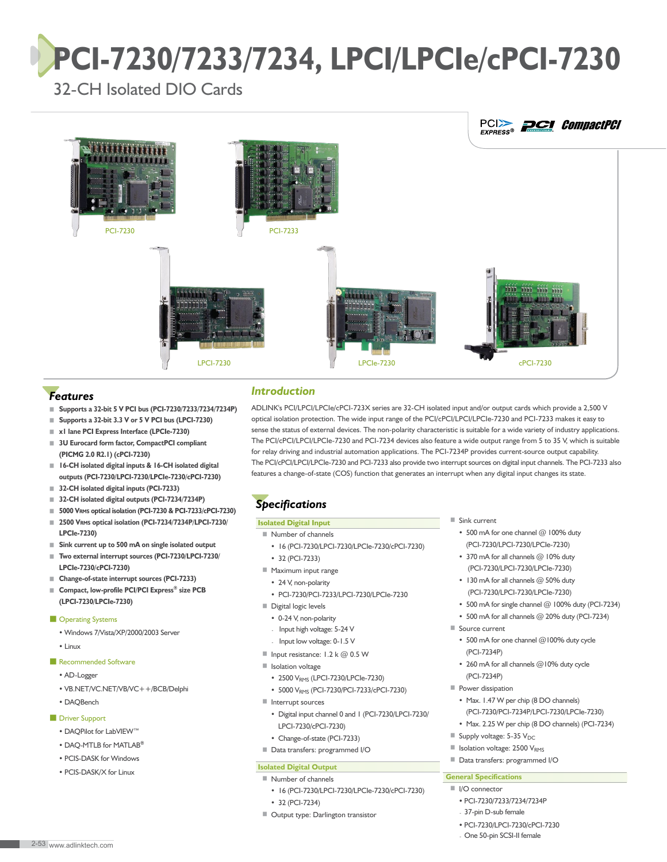# **PCI-7230/7233/7234, LPCI/LPCIe/cPCI-7230**

32-CH Isolated DIO Cards



# *Features*

- **Supports a 32-bit 5 V PCI bus (PCI-7230/7233/7234/7234P)**
- **Supports a 32-bit 3.3 V or 5 V PCI bus (LPCI-7230)**
- ■ **x1 lane PCI Express Interface (LPCIe-7230)**
- ■ **3U Eurocard form factor, CompactPCI compliant (PICMG 2.0 R2.1) (cPCI-7230)**
- ■ **16-CH isolated digital inputs & 16-CH isolated digital outputs (PCI-7230/LPCI-7230/LPCIe-7230/cPCI-7230)**
- **32-CH** isolated digital inputs (PCI-7233)
- **32-CH isolated digital outputs (PCI-7234/7234P)**
- **5000 VRMS optical isolation (PCI-7230 & PCI-7233/cPCI-7230)** ■ **2500 VRMS optical isolation (PCI-7234/7234P/LPCI-7230/**
- **LPCIe-7230)**
- **Sink current up to 500 mA on single isolated output**
- ■ **Two external interrupt sources (PCI-7230/LPCI-7230/ LPCIe-7230/cPCI-7230)**
- **Change-of-state interrupt sources (PCI-7233)**
- ■ **Compact, low-profile PCI/PCI Express® size PCB (LPCI-7230/LPCIe-7230)**

#### ■ Operating Systems

- Windows 7/Vista/XP/2000/2003 Server
- Linux
- Recommended Software
	- AD-Logger
	- VB.NET/VC.NET/VB/VC++/BCB/Delphi
	- DAQBench

#### ■ Driver Support

- DAQPilot for LabVIEW™
- DAQ-MTLB for MATLAB**®**
- PCIS-DASK for Windows
- PCIS-DASK/X for Linux

# *Introduction*

ADLINK's PCI/LPCI/LPCIe/cPCI-723X series are 32-CH isolated input and/or output cards which provide a 2,500 V optical isolation protection. The wide input range of the PCI/cPCI/LPCI/LPCIe-7230 and PCI-7233 makes it easy to sense the status of external devices. The non-polarity characteristic is suitable for a wide variety of industry applications. The PCI/cPCI/LPCI/LPCIe-7230 and PCI-7234 devices also feature a wide output range from 5 to 35 V, which is suitable for relay driving and industrial automation applications. The PCI-7234P provides current-source output capability. The PCI/cPCI/LPCI/LPCIe-7230 and PCI-7233 also provide two interrupt sources on digital input channels. The PCI-7233 also features a change-of-state (COS) function that generates an interrupt when any digital input changes its state.

# *Specifications*

## **Isolated Digital Input**

- Number of channels
	- 16 (PCI-7230/LPCI-7230/LPCIe-7230/cPCI-7230) • 32 (PCI-7233)
- Maximum input range
- 24 V, non-polarity
- PCI-7230/PCI-7233/LPCI-7230/LPCIe-7230
- Digital logic levels
	- 0-24 V, non-polarity
	- Input high voltage: 5-24 V
	- Input low voltage: 0-1.5 V
- Input resistance: 1.2 k @ 0.5 W
- Isolation voltage
- 2500 V<sub>RMS</sub> (LPCI-7230/LPCIe-7230)
- 5000 VRMS (PCI-7230/PCI-7233/cPCI-7230)
- Interrupt sources
	- Digital input channel 0 and 1 (PCI-7230/LPCI-7230/ LPCI-7230/cPCI-7230)
	- Change-of-state (PCI-7233)
- Data transfers: programmed I/O

#### **Isolated Digital Output**

- Number of channels
- 16 (PCI-7230/LPCI-7230/LPCIe-7230/cPCI-7230)
- 32 (PCI-7234)
- Output type: Darlington transistor
- Sink current
	- 500 mA for one channel @ 100% duty (PCI-7230/LPCI-7230/LPCIe-7230)
	- 370 mA for all channels @ 10% duty (PCI-7230/LPCI-7230/LPCIe-7230)
	- 130 mA for all channels @ 50% duty (PCI-7230/LPCI-7230/LPCIe-7230)
	- 500 mA for single channel @ 100% duty (PCI-7234)
- 500 mA for all channels @ 20% duty (PCI-7234)
- Source current
	- 500 mA for one channel @100% duty cycle (PCI-7234P)
	- 260 mA for all channels @10% duty cycle (PCI-7234P)
- Power dissipation
	- Max. 1.47 W per chip (8 DO channels) (PCI-7230/PCI-7234P/LPCI-7230/LPCIe-7230)
	- Max. 2.25 W per chip (8 DO channels) (PCI-7234)
- Supply voltage: 5-35 V<sub>DC</sub>
- Isolation voltage: 2500 V<sub>RMS</sub>
- Data transfers: programmed I/O

### **General Specifications**

- I/O connector
	- PCI-7230/7233/7234/7234P
	- 37-pin D-sub female
	- PCI-7230/LPCI-7230/cPCI-7230
	- One 50-pin SCSI-II female